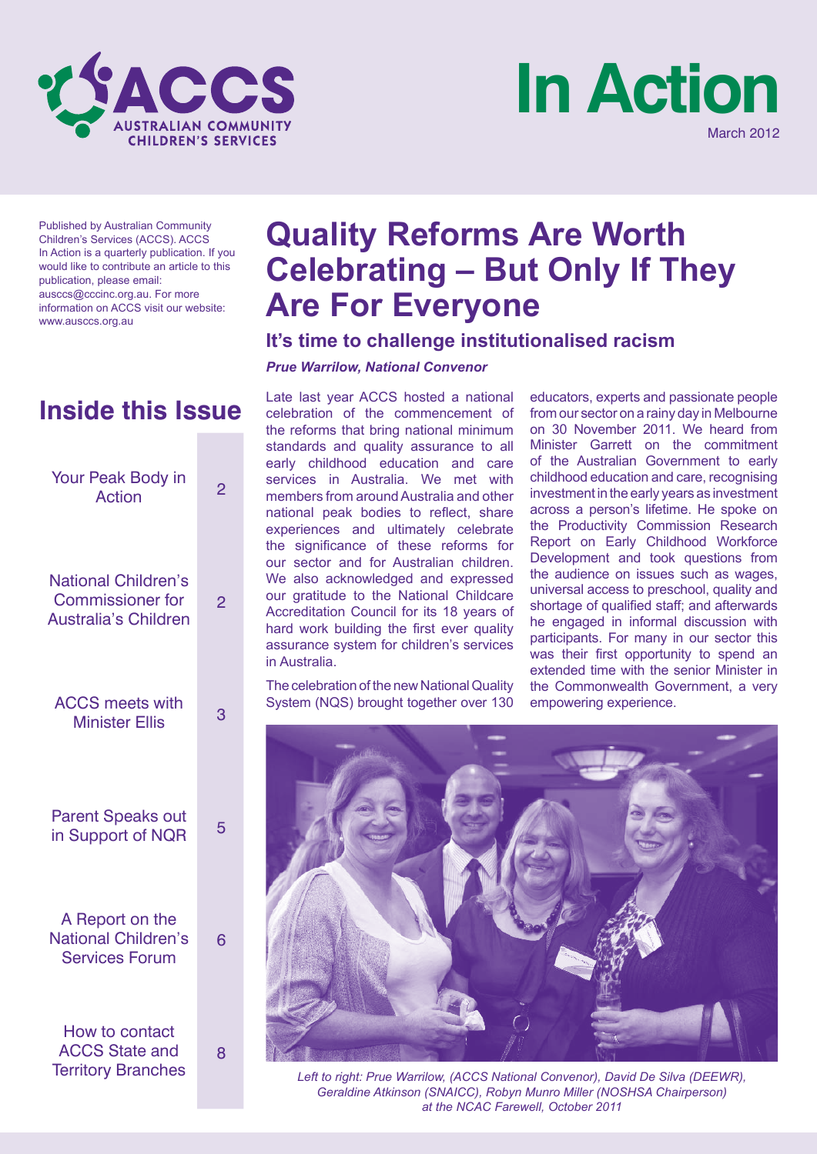



Published by Australian Community Children's Services (ACCS). ACCS In Action is a quarterly publication. If you would like to contribute an article to this publication, please email: ausccs@cccinc.org.au. For more information on ACCS visit our website: www.ausccs.org.au

| Your Peak Body in<br><b>Action</b>                                                   | 2 |
|--------------------------------------------------------------------------------------|---|
| <b>National Children's</b><br><b>Commissioner for</b><br><b>Australia's Children</b> | 2 |
| <b>ACCS</b> meets with<br><b>Minister Ellis</b>                                      | 3 |
| <b>Parent Speaks out</b><br>in Support of NQR                                        | 5 |
| A Report on the<br><b>National Children's</b><br><b>Services Forum</b>               | 6 |
| <b>How to contact</b><br><b>ACCS State and</b><br><b>Territory Branches</b>          | 8 |

### **Quality Reforms Are Worth Celebrating – But Only If They Are For Everyone**

### **It's time to challenge institutionalised racism**

#### *Prue Warrilow, National Convenor*

**Inside this Issue** Late last year ACCS hosted a national celebration of the commencement of the reforms that bring national minimum standards and quality assurance to all early childhood education and care services in Australia. We met with members from around Australia and other national peak bodies to reflect, share experiences and ultimately celebrate the significance of these reforms for our sector and for Australian children. We also acknowledged and expressed our gratitude to the National Childcare Accreditation Council for its 18 years of hard work building the first ever quality assurance system for children's services in Australia.

> The celebration of the new National Quality System (NQS) brought together over 130

educators, experts and passionate people from our sector on a rainy day in Melbourne on 30 November 2011. We heard from Minister Garrett on the commitment of the Australian Government to early childhood education and care, recognising investment in the early years as investment across a person's lifetime. He spoke on the Productivity Commission Research Report on Early Childhood Workforce Development and took questions from the audience on issues such as wages, universal access to preschool, quality and shortage of qualified staff; and afterwards he engaged in informal discussion with participants. For many in our sector this was their first opportunity to spend an extended time with the senior Minister in the Commonwealth Government, a very empowering experience.



*Left to right: Prue Warrilow, (ACCS National Convenor), David De Silva (DEEWR), Geraldine Atkinson (SNAICC), Robyn Munro Miller (NOSHSA Chairperson) at the NCAC Farewell, October 2011*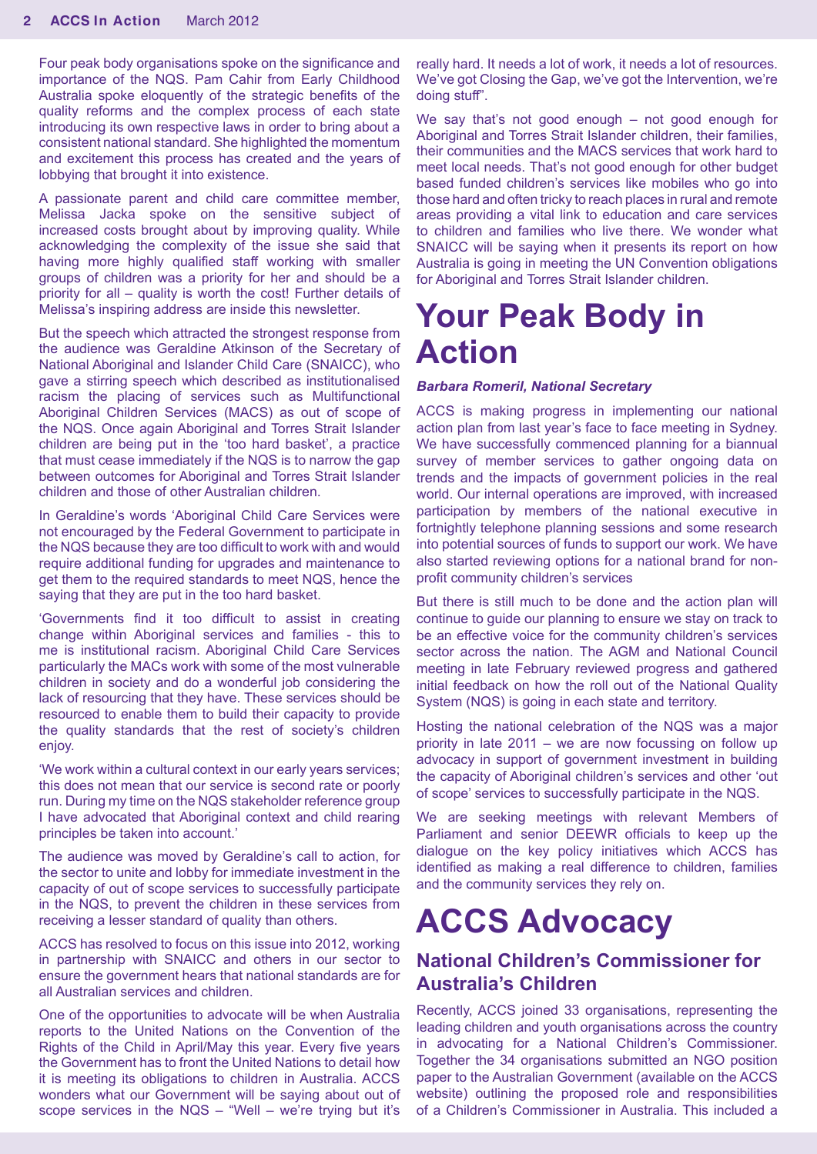Four peak body organisations spoke on the significance and importance of the NQS. Pam Cahir from Early Childhood Australia spoke eloquently of the strategic benefits of the quality reforms and the complex process of each state introducing its own respective laws in order to bring about a consistent national standard. She highlighted the momentum and excitement this process has created and the years of lobbying that brought it into existence.

A passionate parent and child care committee member, Melissa Jacka spoke on the sensitive subject of increased costs brought about by improving quality. While acknowledging the complexity of the issue she said that having more highly qualified staff working with smaller groups of children was a priority for her and should be a priority for all – quality is worth the cost! Further details of Melissa's inspiring address are inside this newsletter.

But the speech which attracted the strongest response from the audience was Geraldine Atkinson of the Secretary of National Aboriginal and Islander Child Care (SNAICC), who gave a stirring speech which described as institutionalised racism the placing of services such as Multifunctional Aboriginal Children Services (MACS) as out of scope of the NQS. Once again Aboriginal and Torres Strait Islander children are being put in the 'too hard basket', a practice that must cease immediately if the NQS is to narrow the gap between outcomes for Aboriginal and Torres Strait Islander children and those of other Australian children.

In Geraldine's words 'Aboriginal Child Care Services were not encouraged by the Federal Government to participate in the NQS because they are too difficult to work with and would require additional funding for upgrades and maintenance to get them to the required standards to meet NQS, hence the saying that they are put in the too hard basket.

'Governments find it too difficult to assist in creating change within Aboriginal services and families - this to me is institutional racism. Aboriginal Child Care Services particularly the MACs work with some of the most vulnerable children in society and do a wonderful job considering the lack of resourcing that they have. These services should be resourced to enable them to build their capacity to provide the quality standards that the rest of society's children enjoy.

'We work within a cultural context in our early years services; this does not mean that our service is second rate or poorly run. During my time on the NQS stakeholder reference group I have advocated that Aboriginal context and child rearing principles be taken into account.'

The audience was moved by Geraldine's call to action, for the sector to unite and lobby for immediate investment in the capacity of out of scope services to successfully participate in the NQS, to prevent the children in these services from receiving a lesser standard of quality than others.

ACCS has resolved to focus on this issue into 2012, working in partnership with SNAICC and others in our sector to ensure the government hears that national standards are for all Australian services and children.

One of the opportunities to advocate will be when Australia reports to the United Nations on the Convention of the Rights of the Child in April/May this year. Every five years the Government has to front the United Nations to detail how it is meeting its obligations to children in Australia. ACCS wonders what our Government will be saying about out of scope services in the NQS – "Well – we're trying but it's

really hard. It needs a lot of work, it needs a lot of resources. We've got Closing the Gap, we've got the Intervention, we're doing stuff".

We say that's not good enough – not good enough for Aboriginal and Torres Strait Islander children, their families, their communities and the MACS services that work hard to meet local needs. That's not good enough for other budget based funded children's services like mobiles who go into those hard and often tricky to reach places in rural and remote areas providing a vital link to education and care services to children and families who live there. We wonder what SNAICC will be saying when it presents its report on how Australia is going in meeting the UN Convention obligations for Aboriginal and Torres Strait Islander children.

### **Your Peak Body in Action**

#### *Barbara Romeril, National Secretary*

ACCS is making progress in implementing our national action plan from last year's face to face meeting in Sydney. We have successfully commenced planning for a biannual survey of member services to gather ongoing data on trends and the impacts of government policies in the real world. Our internal operations are improved, with increased participation by members of the national executive in fortnightly telephone planning sessions and some research into potential sources of funds to support our work. We have also started reviewing options for a national brand for nonprofit community children's services

But there is still much to be done and the action plan will continue to guide our planning to ensure we stay on track to be an effective voice for the community children's services sector across the nation. The AGM and National Council meeting in late February reviewed progress and gathered initial feedback on how the roll out of the National Quality System (NQS) is going in each state and territory.

Hosting the national celebration of the NQS was a major priority in late 2011 – we are now focussing on follow up advocacy in support of government investment in building the capacity of Aboriginal children's services and other 'out of scope' services to successfully participate in the NQS.

We are seeking meetings with relevant Members of Parliament and senior DEEWR officials to keep up the dialogue on the key policy initiatives which ACCS has identified as making a real difference to children, families and the community services they rely on.

## **ACCS Advocacy**

#### **National Children's Commissioner for Australia's Children**

Recently, ACCS joined 33 organisations, representing the leading children and youth organisations across the country in advocating for a National Children's Commissioner. Together the 34 organisations submitted an NGO position paper to the Australian Government (available on the ACCS website) outlining the proposed role and responsibilities of a Children's Commissioner in Australia. This included a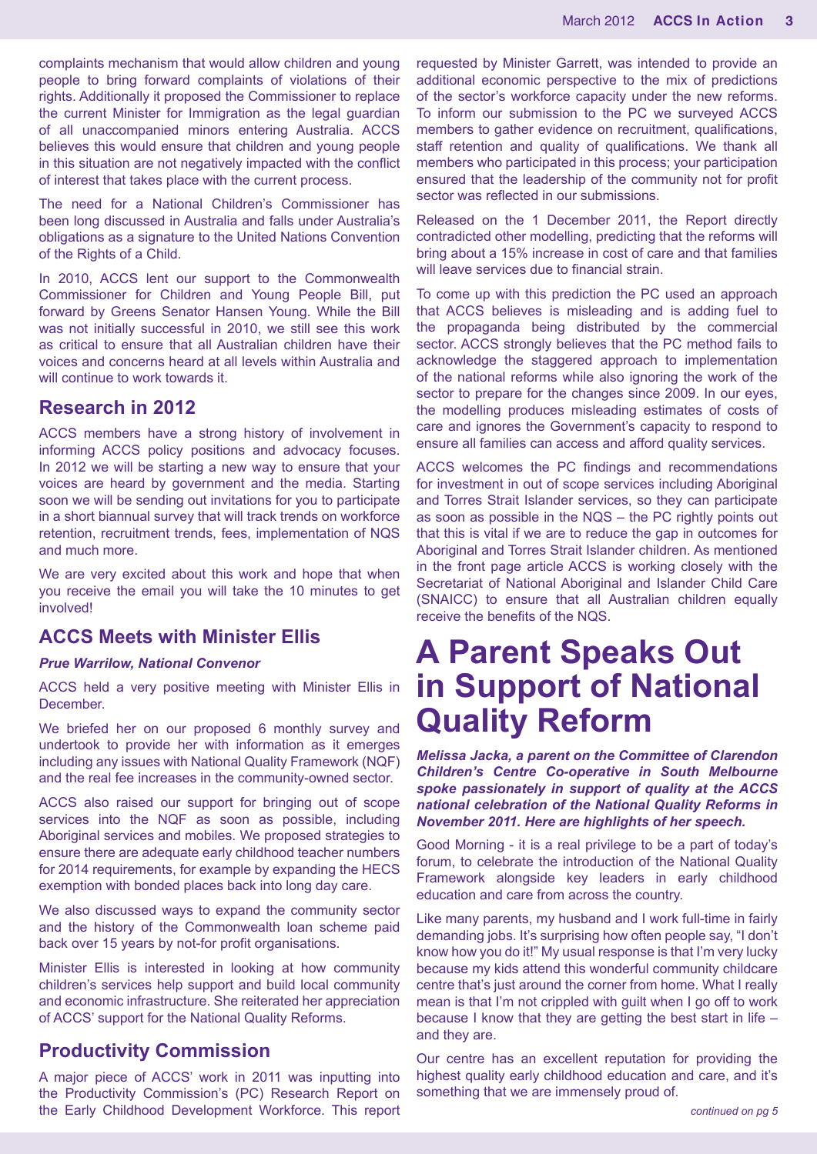complaints mechanism that would allow children and young people to bring forward complaints of violations of their rights. Additionally it proposed the Commissioner to replace the current Minister for Immigration as the legal guardian of all unaccompanied minors entering Australia. ACCS believes this would ensure that children and young people in this situation are not negatively impacted with the conflict of interest that takes place with the current process.

The need for a National Children's Commissioner has been long discussed in Australia and falls under Australia's obligations as a signature to the United Nations Convention of the Rights of a Child.

In 2010, ACCS lent our support to the Commonwealth Commissioner for Children and Young People Bill, put forward by Greens Senator Hansen Young. While the Bill was not initially successful in 2010, we still see this work as critical to ensure that all Australian children have their voices and concerns heard at all levels within Australia and will continue to work towards it.

#### **Research in 2012**

ACCS members have a strong history of involvement in informing ACCS policy positions and advocacy focuses. In 2012 we will be starting a new way to ensure that your voices are heard by government and the media. Starting soon we will be sending out invitations for you to participate in a short biannual survey that will track trends on workforce retention, recruitment trends, fees, implementation of NQS and much more.

We are very excited about this work and hope that when you receive the email you will take the 10 minutes to get involved!

#### **ACCS Meets with Minister Ellis**

#### *Prue Warrilow, National Convenor*

ACCS held a very positive meeting with Minister Ellis in December.

We briefed her on our proposed 6 monthly survey and undertook to provide her with information as it emerges including any issues with National Quality Framework (NQF) and the real fee increases in the community-owned sector.

ACCS also raised our support for bringing out of scope services into the NQF as soon as possible, including Aboriginal services and mobiles. We proposed strategies to ensure there are adequate early childhood teacher numbers for 2014 requirements, for example by expanding the HECS exemption with bonded places back into long day care.

We also discussed ways to expand the community sector and the history of the Commonwealth loan scheme paid back over 15 years by not-for profit organisations.

Minister Ellis is interested in looking at how community children's services help support and build local community and economic infrastructure. She reiterated her appreciation of ACCS' support for the National Quality Reforms.

#### **Productivity Commission**

A major piece of ACCS' work in 2011 was inputting into the Productivity Commission's (PC) Research Report on the Early Childhood Development Workforce. This report requested by Minister Garrett, was intended to provide an additional economic perspective to the mix of predictions of the sector's workforce capacity under the new reforms. To inform our submission to the PC we surveyed ACCS members to gather evidence on recruitment, qualifications, staff retention and quality of qualifications. We thank all members who participated in this process; your participation ensured that the leadership of the community not for profit sector was reflected in our submissions.

Released on the 1 December 2011, the Report directly contradicted other modelling, predicting that the reforms will bring about a 15% increase in cost of care and that families will leave services due to financial strain.

To come up with this prediction the PC used an approach that ACCS believes is misleading and is adding fuel to the propaganda being distributed by the commercial sector. ACCS strongly believes that the PC method fails to acknowledge the staggered approach to implementation of the national reforms while also ignoring the work of the sector to prepare for the changes since 2009. In our eyes, the modelling produces misleading estimates of costs of care and ignores the Government's capacity to respond to ensure all families can access and afford quality services.

ACCS welcomes the PC findings and recommendations for investment in out of scope services including Aboriginal and Torres Strait Islander services, so they can participate as soon as possible in the NQS – the PC rightly points out that this is vital if we are to reduce the gap in outcomes for Aboriginal and Torres Strait Islander children. As mentioned in the front page article ACCS is working closely with the Secretariat of National Aboriginal and Islander Child Care (SNAICC) to ensure that all Australian children equally receive the benefits of the NQS.

### **A Parent Speaks Out in Support of National Quality Reform**

*Melissa Jacka, a parent on the Committee of Clarendon Children's Centre Co-operative in South Melbourne spoke passionately in support of quality at the ACCS national celebration of the National Quality Reforms in November 2011. Here are highlights of her speech.*

Good Morning - it is a real privilege to be a part of today's forum, to celebrate the introduction of the National Quality Framework alongside key leaders in early childhood education and care from across the country.

Like many parents, my husband and I work full-time in fairly demanding jobs. It's surprising how often people say, "I don't know how you do it!" My usual response is that I'm very lucky because my kids attend this wonderful community childcare centre that's just around the corner from home. What I really mean is that I'm not crippled with guilt when I go off to work because I know that they are getting the best start in life – and they are.

Our centre has an excellent reputation for providing the highest quality early childhood education and care, and it's something that we are immensely proud of.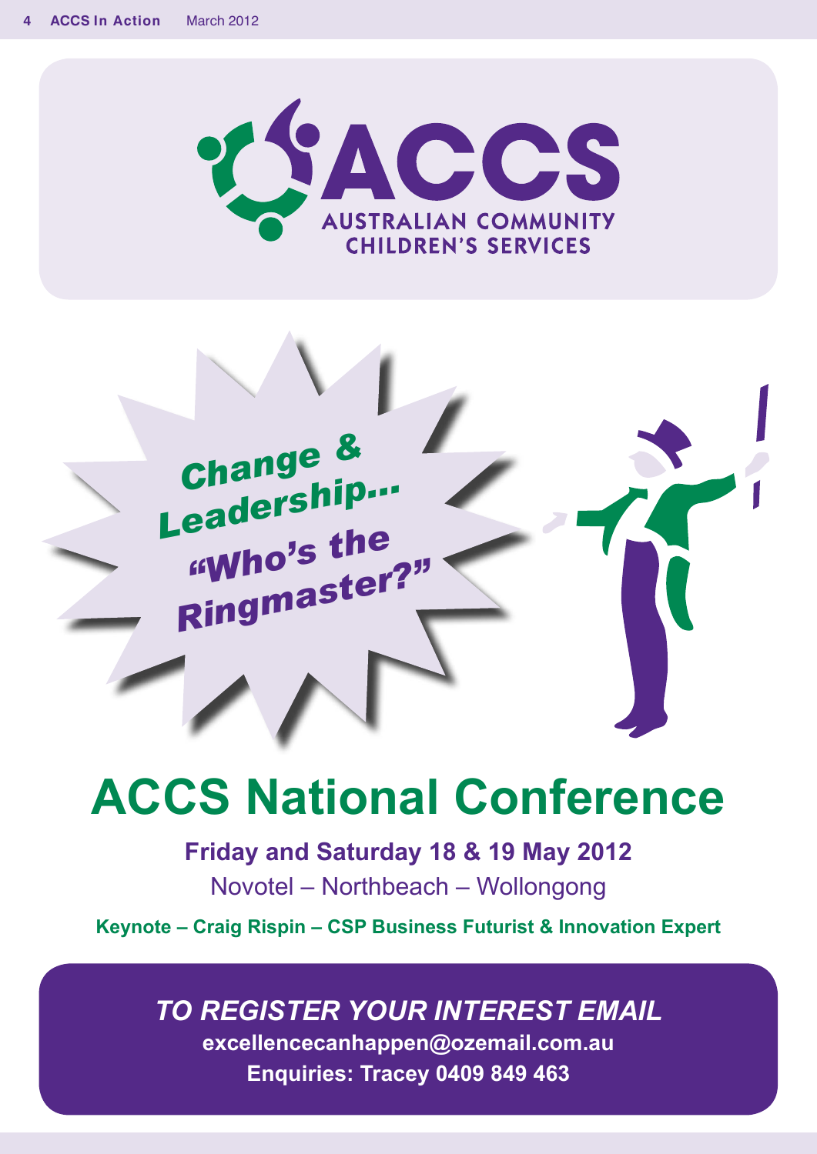



# **ACCS National Conference**

**Friday and Saturday 18 & 19 May 2012** Novotel – Northbeach – Wollongong

**Keynote – Craig Rispin – CSP Business Futurist & Innovation Expert** 

### *TO REGISTER YOUR INTEREST EMAIL*

**excellencecanhappen@ozemail.com.au Enquiries: Tracey 0409 849 463**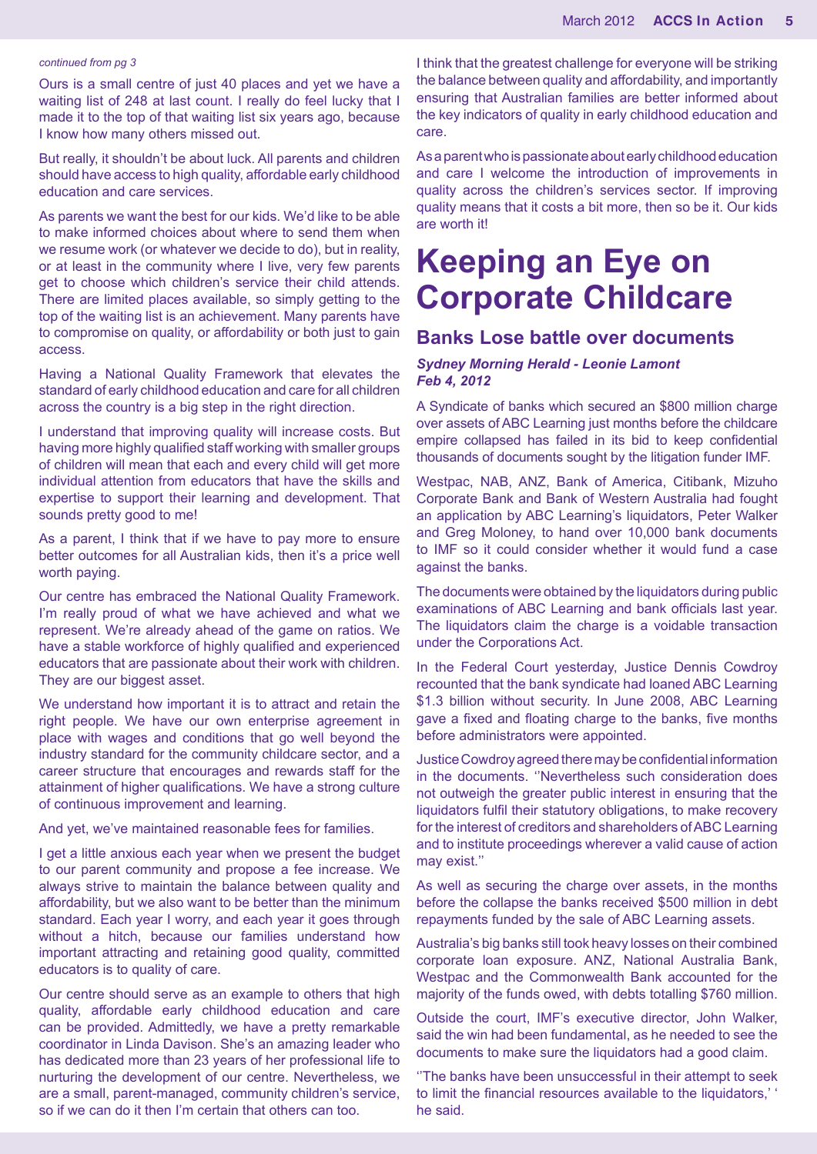#### *continued from pg 3*

Ours is a small centre of just 40 places and yet we have a waiting list of 248 at last count. I really do feel lucky that I made it to the top of that waiting list six years ago, because I know how many others missed out.

But really, it shouldn't be about luck. All parents and children should have access to high quality, affordable early childhood education and care services.

As parents we want the best for our kids. We'd like to be able to make informed choices about where to send them when we resume work (or whatever we decide to do), but in reality, or at least in the community where I live, very few parents get to choose which children's service their child attends. There are limited places available, so simply getting to the top of the waiting list is an achievement. Many parents have to compromise on quality, or affordability or both just to gain access.

Having a National Quality Framework that elevates the standard of early childhood education and care for all children across the country is a big step in the right direction.

I understand that improving quality will increase costs. But having more highly qualified staff working with smaller groups of children will mean that each and every child will get more individual attention from educators that have the skills and expertise to support their learning and development. That sounds pretty good to me!

As a parent, I think that if we have to pay more to ensure better outcomes for all Australian kids, then it's a price well worth paying.

Our centre has embraced the National Quality Framework. I'm really proud of what we have achieved and what we represent. We're already ahead of the game on ratios. We have a stable workforce of highly qualified and experienced educators that are passionate about their work with children. They are our biggest asset.

We understand how important it is to attract and retain the right people. We have our own enterprise agreement in place with wages and conditions that go well beyond the industry standard for the community childcare sector, and a career structure that encourages and rewards staff for the attainment of higher qualifications. We have a strong culture of continuous improvement and learning.

And yet, we've maintained reasonable fees for families.

I get a little anxious each year when we present the budget to our parent community and propose a fee increase. We always strive to maintain the balance between quality and affordability, but we also want to be better than the minimum standard. Each year I worry, and each year it goes through without a hitch, because our families understand how important attracting and retaining good quality, committed educators is to quality of care.

Our centre should serve as an example to others that high quality, affordable early childhood education and care can be provided. Admittedly, we have a pretty remarkable coordinator in Linda Davison. She's an amazing leader who has dedicated more than 23 years of her professional life to nurturing the development of our centre. Nevertheless, we are a small, parent-managed, community children's service, so if we can do it then I'm certain that others can too.

I think that the greatest challenge for everyone will be striking the balance between quality and affordability, and importantly ensuring that Australian families are better informed about the key indicators of quality in early childhood education and care.

As a parent who is passionate about early childhood education and care I welcome the introduction of improvements in quality across the children's services sector. If improving quality means that it costs a bit more, then so be it. Our kids are worth it!

### **Keeping an Eye on Corporate Childcare**

#### **Banks Lose battle over documents**

#### *Sydney Morning Herald - Leonie Lamont Feb 4, 2012*

A Syndicate of banks which secured an \$800 million charge over assets of ABC Learning just months before the childcare empire collapsed has failed in its bid to keep confidential thousands of documents sought by the litigation funder IMF.

Westpac, NAB, ANZ, Bank of America, Citibank, Mizuho Corporate Bank and Bank of Western Australia had fought an application by ABC Learning's liquidators, Peter Walker and Greg Moloney, to hand over 10,000 bank documents to IMF so it could consider whether it would fund a case against the banks.

The documents were obtained by the liquidators during public examinations of ABC Learning and bank officials last year. The liquidators claim the charge is a voidable transaction under the Corporations Act.

In the Federal Court yesterday, Justice Dennis Cowdroy recounted that the bank syndicate had loaned ABC Learning \$1.3 billion without security. In June 2008, ABC Learning gave a fixed and floating charge to the banks, five months before administrators were appointed.

Justice Cowdroy agreed there may be confidential information in the documents. ''Nevertheless such consideration does not outweigh the greater public interest in ensuring that the liquidators fulfil their statutory obligations, to make recovery for the interest of creditors and shareholders of ABC Learning and to institute proceedings wherever a valid cause of action may exist.''

As well as securing the charge over assets, in the months before the collapse the banks received \$500 million in debt repayments funded by the sale of ABC Learning assets.

Australia's big banks still took heavy losses on their combined corporate loan exposure. ANZ, National Australia Bank, Westpac and the Commonwealth Bank accounted for the majority of the funds owed, with debts totalling \$760 million.

Outside the court, IMF's executive director, John Walker, said the win had been fundamental, as he needed to see the documents to make sure the liquidators had a good claim.

''The banks have been unsuccessful in their attempt to seek to limit the financial resources available to the liquidators,' ' he said.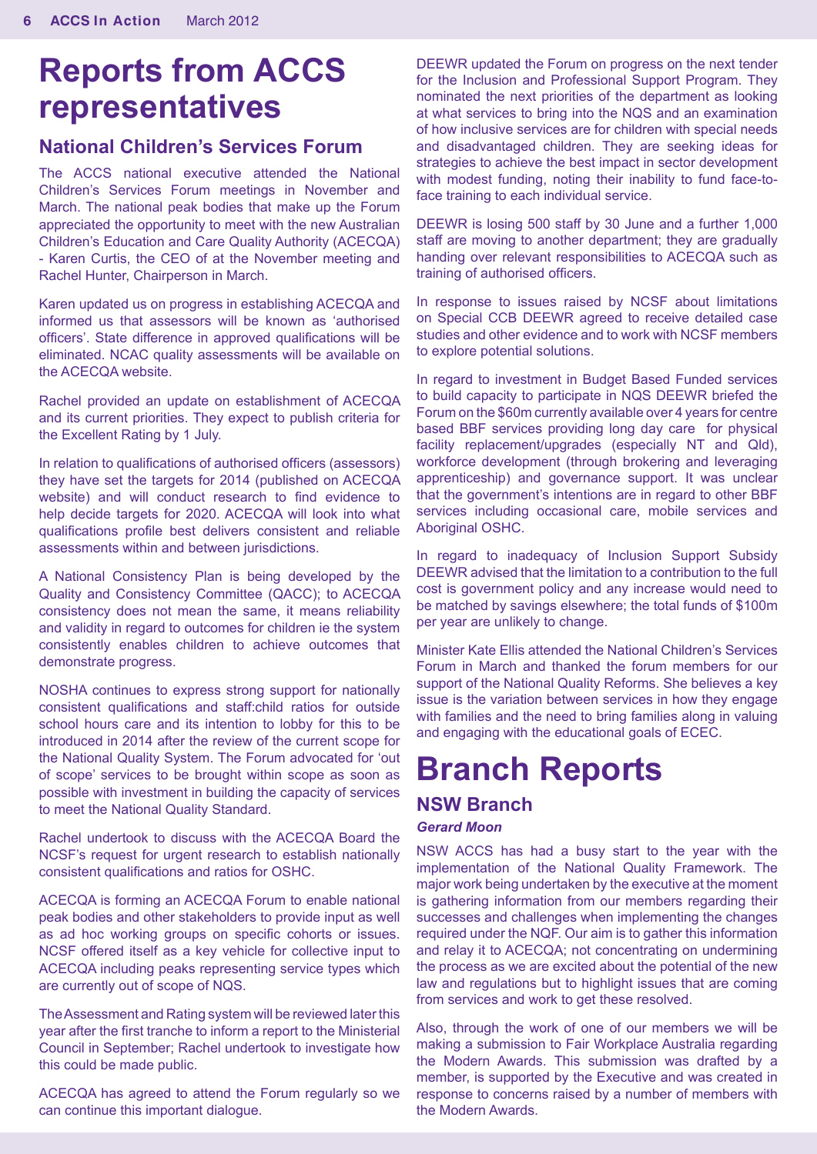### **Reports from ACCS representatives**

#### **National Children's Services Forum**

The ACCS national executive attended the National Children's Services Forum meetings in November and March. The national peak bodies that make up the Forum appreciated the opportunity to meet with the new Australian Children's Education and Care Quality Authority (ACECQA) - Karen Curtis, the CEO of at the November meeting and Rachel Hunter, Chairperson in March.

Karen updated us on progress in establishing ACECQA and informed us that assessors will be known as 'authorised officers'. State difference in approved qualifications will be eliminated. NCAC quality assessments will be available on the ACECQA website.

Rachel provided an update on establishment of ACECQA and its current priorities. They expect to publish criteria for the Excellent Rating by 1 July.

In relation to qualifications of authorised officers (assessors) they have set the targets for 2014 (published on ACECQA website) and will conduct research to find evidence to help decide targets for 2020. ACECQA will look into what qualifications profile best delivers consistent and reliable assessments within and between jurisdictions.

A National Consistency Plan is being developed by the Quality and Consistency Committee (QACC); to ACECQA consistency does not mean the same, it means reliability and validity in regard to outcomes for children ie the system consistently enables children to achieve outcomes that demonstrate progress.

NOSHA continues to express strong support for nationally consistent qualifications and staff:child ratios for outside school hours care and its intention to lobby for this to be introduced in 2014 after the review of the current scope for the National Quality System. The Forum advocated for 'out of scope' services to be brought within scope as soon as possible with investment in building the capacity of services to meet the National Quality Standard.

Rachel undertook to discuss with the ACECQA Board the NCSF's request for urgent research to establish nationally consistent qualifications and ratios for OSHC.

ACECQA is forming an ACECQA Forum to enable national peak bodies and other stakeholders to provide input as well as ad hoc working groups on specific cohorts or issues. NCSF offered itself as a key vehicle for collective input to ACECQA including peaks representing service types which are currently out of scope of NQS.

The Assessment and Rating system will be reviewed later this year after the first tranche to inform a report to the Ministerial Council in September; Rachel undertook to investigate how this could be made public.

ACECQA has agreed to attend the Forum regularly so we can continue this important dialogue.

DEEWR updated the Forum on progress on the next tender for the Inclusion and Professional Support Program. They nominated the next priorities of the department as looking at what services to bring into the NQS and an examination of how inclusive services are for children with special needs and disadvantaged children. They are seeking ideas for strategies to achieve the best impact in sector development with modest funding, noting their inability to fund face-toface training to each individual service.

DEEWR is losing 500 staff by 30 June and a further 1,000 staff are moving to another department; they are gradually handing over relevant responsibilities to ACECQA such as training of authorised officers.

In response to issues raised by NCSF about limitations on Special CCB DEEWR agreed to receive detailed case studies and other evidence and to work with NCSF members to explore potential solutions.

In regard to investment in Budget Based Funded services to build capacity to participate in NQS DEEWR briefed the Forum on the \$60m currently available over 4 years for centre based BBF services providing long day care for physical facility replacement/upgrades (especially NT and Qld), workforce development (through brokering and leveraging apprenticeship) and governance support. It was unclear that the government's intentions are in regard to other BBF services including occasional care, mobile services and Aboriginal OSHC.

In regard to inadequacy of Inclusion Support Subsidy DEEWR advised that the limitation to a contribution to the full cost is government policy and any increase would need to be matched by savings elsewhere; the total funds of \$100m per year are unlikely to change.

Minister Kate Ellis attended the National Children's Services Forum in March and thanked the forum members for our support of the National Quality Reforms. She believes a key issue is the variation between services in how they engage with families and the need to bring families along in valuing and engaging with the educational goals of ECEC.

## **Branch Reports**

#### **NSW Branch** *Gerard Moon*

NSW ACCS has had a busy start to the year with the implementation of the National Quality Framework. The major work being undertaken by the executive at the moment is gathering information from our members regarding their successes and challenges when implementing the changes required under the NQF. Our aim is to gather this information and relay it to ACECQA; not concentrating on undermining the process as we are excited about the potential of the new law and regulations but to highlight issues that are coming from services and work to get these resolved.

Also, through the work of one of our members we will be making a submission to Fair Workplace Australia regarding the Modern Awards. This submission was drafted by a member, is supported by the Executive and was created in response to concerns raised by a number of members with the Modern Awards.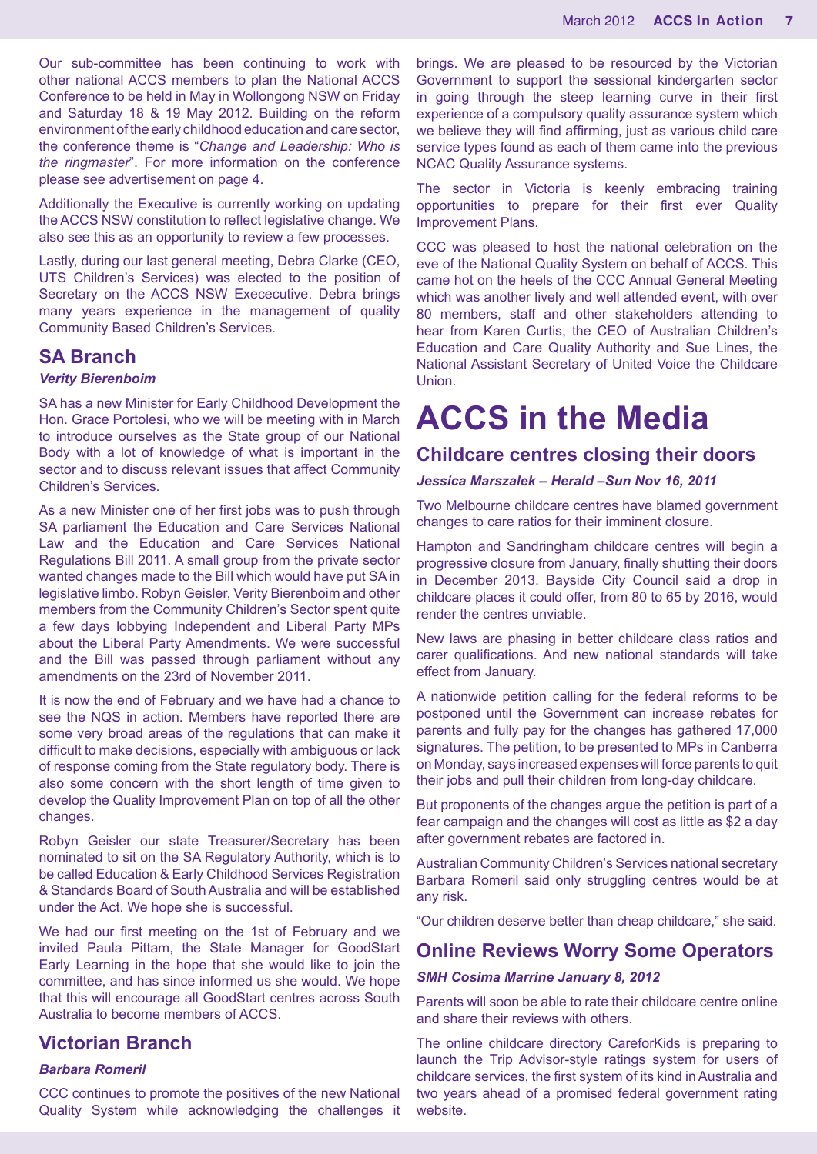Our sub-committee has been continuing to work with other national ACCS members to plan the National ACCS Conference to be held in May in Wollongong NSW on Friday and Saturday 18 & 19 May 2012. Building on the reform environment of the early childhood education and care sector, the conference theme is "*Change and Leadership: Who is the ringmaster*". For more information on the conference please see advertisement on page 4.

Additionally the Executive is currently working on updating the ACCS NSW constitution to reflect legislative change. We also see this as an opportunity to review a few processes.

Lastly, during our last general meeting, Debra Clarke (CEO, UTS Children's Services) was elected to the position of Secretary on the ACCS NSW Exececutive. Debra brings many years experience in the management of quality Community Based Children's Services.

#### **SA Branch**

#### *Verity Bierenboim*

SA has a new Minister for Early Childhood Development the Hon. Grace Portolesi, who we will be meeting with in March to introduce ourselves as the State group of our National Body with a lot of knowledge of what is important in the sector and to discuss relevant issues that affect Community Children's Services.

As a new Minister one of her first jobs was to push through SA parliament the Education and Care Services National Law and the Education and Care Services National Regulations Bill 2011. A small group from the private sector wanted changes made to the Bill which would have put SA in legislative limbo. Robyn Geisler, Verity Bierenboim and other members from the Community Children's Sector spent quite a few days lobbying Independent and Liberal Party MPs about the Liberal Party Amendments. We were successful and the Bill was passed through parliament without any amendments on the 23rd of November 2011.

It is now the end of February and we have had a chance to see the NQS in action. Members have reported there are some very broad areas of the regulations that can make it difficult to make decisions, especially with ambiguous or lack of response coming from the State regulatory body. There is also some concern with the short length of time given to develop the Quality Improvement Plan on top of all the other changes.

Robyn Geisler our state Treasurer/Secretary has been nominated to sit on the SA Regulatory Authority, which is to be called Education & Early Childhood Services Registration & Standards Board of South Australia and will be established under the Act. We hope she is successful.

We had our first meeting on the 1st of February and we invited Paula Pittam, the State Manager for GoodStart Early Learning in the hope that she would like to join the committee, and has since informed us she would. We hope that this will encourage all GoodStart centres across South Australia to become members of ACCS.

#### **Victorian Branch**

#### *Barbara Romeril*

CCC continues to promote the positives of the new National Quality System while acknowledging the challenges it brings. We are pleased to be resourced by the Victorian Government to support the sessional kindergarten sector in going through the steep learning curve in their first experience of a compulsory quality assurance system which we believe they will find affirming, just as various child care service types found as each of them came into the previous NCAC Quality Assurance systems.

The sector in Victoria is keenly embracing training opportunities to prepare for their first ever Quality Improvement Plans.

CCC was pleased to host the national celebration on the eve of the National Quality System on behalf of ACCS. This came hot on the heels of the CCC Annual General Meeting which was another lively and well attended event, with over 80 members, staff and other stakeholders attending to hear from Karen Curtis, the CEO of Australian Children's Education and Care Quality Authority and Sue Lines, the National Assistant Secretary of United Voice the Childcare Union.

### **ACCS in the Media**

#### **Childcare centres closing their doors**

#### *Jessica Marszalek – Herald –Sun Nov 16, 2011*

Two Melbourne childcare centres have blamed government changes to care ratios for their imminent closure.

Hampton and Sandringham childcare centres will begin a progressive closure from January, finally shutting their doors in December 2013. Bayside City Council said a drop in childcare places it could offer, from 80 to 65 by 2016, would render the centres unviable.

New laws are phasing in better childcare class ratios and carer qualifications. And new national standards will take effect from January.

A nationwide petition calling for the federal reforms to be postponed until the Government can increase rebates for parents and fully pay for the changes has gathered 17,000 signatures. The petition, to be presented to MPs in Canberra on Monday, says increased expenses will force parents to quit their jobs and pull their children from long-day childcare.

But proponents of the changes argue the petition is part of a fear campaign and the changes will cost as little as \$2 a day after government rebates are factored in.

Australian Community Children's Services national secretary Barbara Romeril said only struggling centres would be at any risk.

"Our children deserve better than cheap childcare," she said.

#### **Online Reviews Worry Some Operators**

#### *SMH Cosima Marrine January 8, 2012*

Parents will soon be able to rate their childcare centre online and share their reviews with others.

The online childcare directory CareforKids is preparing to launch the Trip Advisor-style ratings system for users of childcare services, the first system of its kind in Australia and two years ahead of a promised federal government rating website.